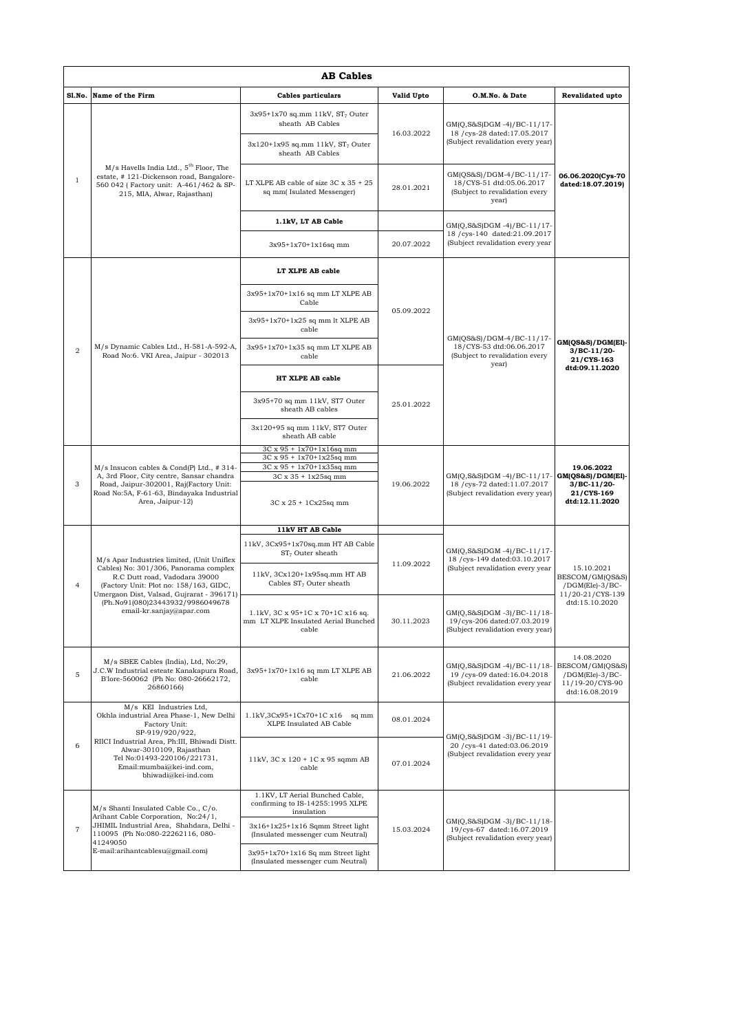|                         | <b>AB Cables</b>                                                                                                                                                                                                                                                            |                                                                                            |            |                                                                                                 |                                                                                       |  |  |  |
|-------------------------|-----------------------------------------------------------------------------------------------------------------------------------------------------------------------------------------------------------------------------------------------------------------------------|--------------------------------------------------------------------------------------------|------------|-------------------------------------------------------------------------------------------------|---------------------------------------------------------------------------------------|--|--|--|
| Sl.No.                  | Name of the Firm                                                                                                                                                                                                                                                            | <b>Cables particulars</b>                                                                  | Valid Upto | O.M.No. & Date                                                                                  | Revalidated upto                                                                      |  |  |  |
| $\mathbf{1}$            | $M/s$ Havells India Ltd., $5th$ Floor, The<br>estate, #121-Dickenson road, Bangalore-<br>560 042 (Factory unit: A-461/462 & SP-<br>215, MIA, Alwar, Rajasthan)                                                                                                              | $3x95+1x70$ sq.mm 11kV, $ST7$ Outer<br>sheath AB Cables                                    | 16.03.2022 | GM(Q,S&S)DGM-4)/BC-11/17-<br>18 / cys-28 dated:17.05.2017<br>(Subject revalidation every year)  | 06.06.2020(Cys-70<br>dated:18.07.2019)                                                |  |  |  |
|                         |                                                                                                                                                                                                                                                                             | $3x120+1x95$ sq.mm 11kV, $ST_7$ Outer<br>sheath AB Cables                                  |            |                                                                                                 |                                                                                       |  |  |  |
|                         |                                                                                                                                                                                                                                                                             | LT XLPE AB cable of size $3C \times 35 + 25$<br>sq mm(Isulated Messenger)                  | 28.01.2021 | GM(QS&S)/DGM-4/BC-11/17-<br>18/CYS-51 dtd:05.06.2017<br>(Subject to revalidation every<br>year) |                                                                                       |  |  |  |
|                         |                                                                                                                                                                                                                                                                             | 1.1kV, LT AB Cable                                                                         |            | GM(Q,S&S)DGM-4)/BC-11/17-<br>18 / cys-140 dated:21.09.2017<br>(Subject revalidation every year  |                                                                                       |  |  |  |
|                         |                                                                                                                                                                                                                                                                             | $3x95+1x70+1x16sq$ mm                                                                      | 20.07.2022 |                                                                                                 |                                                                                       |  |  |  |
|                         | M/s Dynamic Cables Ltd., H-581-A-592-A,<br>Road No:6. VKI Area, Jaipur - 302013                                                                                                                                                                                             | LT XLPE AB cable                                                                           | 05.09.2022 | GM(QS&S)/DGM-4/BC-11/17-<br>18/CYS-53 dtd:06.06.2017<br>(Subject to revalidation every<br>year) | GM(QS&S)/DGM(El)-<br>$3/BC-11/20-$<br>21/CYS-163<br>dtd:09.11.2020                    |  |  |  |
|                         |                                                                                                                                                                                                                                                                             | 3x95+1x70+1x16 sq mm LT XLPE AB<br>Cable                                                   |            |                                                                                                 |                                                                                       |  |  |  |
|                         |                                                                                                                                                                                                                                                                             | 3x95+1x70+1x25 sq mm lt XLPE AB<br>cable                                                   |            |                                                                                                 |                                                                                       |  |  |  |
| $\overline{\mathbf{2}}$ |                                                                                                                                                                                                                                                                             | 3x95+1x70+1x35 sq mm LT XLPE AB<br>cable                                                   |            |                                                                                                 |                                                                                       |  |  |  |
|                         |                                                                                                                                                                                                                                                                             | HT XLPE AB cable                                                                           |            |                                                                                                 |                                                                                       |  |  |  |
|                         |                                                                                                                                                                                                                                                                             | 3x95+70 sq mm 11kV, ST7 Outer<br>sheath AB cables                                          | 25.01.2022 |                                                                                                 |                                                                                       |  |  |  |
|                         |                                                                                                                                                                                                                                                                             | 3x120+95 sq mm 11kV, ST7 Outer<br>sheath AB cable                                          |            |                                                                                                 |                                                                                       |  |  |  |
|                         | M/s Insucon cables & Cond(P) Ltd., #314-<br>A, 3rd Floor, City centre, Sansar chandra<br>Road, Jaipur-302001, Raj(Factory Unit:<br>Road No:5A, F-61-63, Bindayaka Industrial<br>Area, Jaipur-12)                                                                            | $3C \times 95 + 1x70 + 1x16$ sq mm<br>3C x 95 + 1x70+1x25sq mm<br>3C x 95 + 1x70+1x35sq mm | 19.06.2022 | GM(Q,S&S)DGM-4)/BC-11/17-<br>18 / cys-72 dated:11.07.2017<br>(Subject revalidation every year)  | 19.06.2022<br>$GM(QS&S)/DGM(E1)$ -<br>$3/BC-11/20-$<br>21/CYS-169<br>dtd:12.11.2020   |  |  |  |
| 3                       |                                                                                                                                                                                                                                                                             | 3C x 35 + 1x25sq mm<br>3C x 25 + 1Cx25sq mm                                                |            |                                                                                                 |                                                                                       |  |  |  |
|                         |                                                                                                                                                                                                                                                                             | 11kV HT AB Cable                                                                           |            |                                                                                                 |                                                                                       |  |  |  |
|                         | M/s Apar Industries limited, (Unit Uniflex<br>Cables) No: 301/306, Panorama complex<br>R.C Dutt road, Vadodara 39000<br>(Factory Unit: Plot no: 158/163, GIDC,<br>Umergaon Dist, Valsad, Gujrarat - 396171)<br>(Ph.No91(080)23443932/9986049678<br>email-kr.sanjay@apar.com | 11kV, 3Cx95+1x70sq.mm HT AB Cable<br>$ST7$ Outer sheath                                    | 11.09.2022 | GM(Q,S&S)DGM-4)/BC-11/17-<br>18 / cys-149 dated:03.10.2017<br>(Subject revalidation every year  | 15.10.2021<br>BESCOM/GM(QS&S)<br>$/$ DGM(Ele)-3/BC-<br>11/20-21/CYS-139               |  |  |  |
| $\overline{4}$          |                                                                                                                                                                                                                                                                             | 11kV, 3Cx120+1x95sq.mm HT AB<br>Cables ST <sub>7</sub> Outer sheath                        |            |                                                                                                 |                                                                                       |  |  |  |
|                         |                                                                                                                                                                                                                                                                             | 1.1kV, 3C x 95+1C x 70+1C x16 sq.<br>mm LT XLPE Insulated Aerial Bunched<br>cable          | 30.11.2023 | GM(Q,S&S)DGM -3)/BC-11/18-<br>19/cys-206 dated:07.03.2019<br>(Subject revalidation every year)  | dtd:15.10.2020                                                                        |  |  |  |
| 5                       | M/s SBEE Cables (India), Ltd, No:29,<br>J.C.W Industrial esteate Kanakapura Road,<br>B'lore-560062 (Ph No: 080-26662172,<br>26860166)                                                                                                                                       | 3x95+1x70+1x16 sq mm LT XLPE AB<br>cable                                                   | 21.06.2022 | GM(Q,S&S)DGM-4)/BC-11/18-<br>19 / cys-09 dated:16.04.2018<br>(Subject revalidation every year   | 14.08.2020<br>BESCOM/GM(QS&S)<br>/DGM(Ele)-3/BC-<br>11/19-20/CYS-90<br>dtd:16.08.2019 |  |  |  |
|                         | M/s KEI Industries Ltd.<br>Okhla industrial Area Phase-1, New Delhi<br>Factory Unit:<br>SP-919/920/922,<br>RIICI Industrial Area, Ph:III, Bhiwadi Distt.<br>Alwar-3010109, Rajasthan<br>Tel No:01493-220106/221731,<br>Email:mumbai@kei-ind.com,<br>bhiwadi@kei-ind.com     | $1.1kV, 3Cx95+1Cx70+1C x16$ sq mm<br>XLPE Insulated AB Cable                               | 08.01.2024 | GM(Q,S&S)DGM-3)/BC-11/19-<br>20 / cys-41 dated:03.06.2019<br>(Subject revalidation every year   |                                                                                       |  |  |  |
| 6                       |                                                                                                                                                                                                                                                                             | 11kV, 3C x 120 + 1C x 95 sqmm AB<br>cable                                                  | 07.01.2024 |                                                                                                 |                                                                                       |  |  |  |
|                         | M/s Shanti Insulated Cable Co., C/o.<br>Arihant Cable Corporation, No:24/1,<br>JHIMIL Industrial Area, Shahdara, Delhi -<br>110095 (Ph No:080-22262116, 080-<br>41249050<br>E-mail:arihantcablesu@gmail.com)                                                                | 1.1KV, LT Aerial Bunched Cable,<br>confirming to IS-14255:1995 XLPE<br>insulation          | 15.03.2024 | GM(Q,S&S)DGM-3)/BC-11/18-<br>19/cys-67 dated:16.07.2019<br>(Subject revalidation every year)    |                                                                                       |  |  |  |
| $\overline{7}$          |                                                                                                                                                                                                                                                                             | $3x16+1x25+1x16$ Sqmm Street light<br>(Insulated messenger cum Neutral)                    |            |                                                                                                 |                                                                                       |  |  |  |
|                         |                                                                                                                                                                                                                                                                             | 3x95+1x70+1x16 Sq mm Street light<br>(Insulated messenger cum Neutral)                     |            |                                                                                                 |                                                                                       |  |  |  |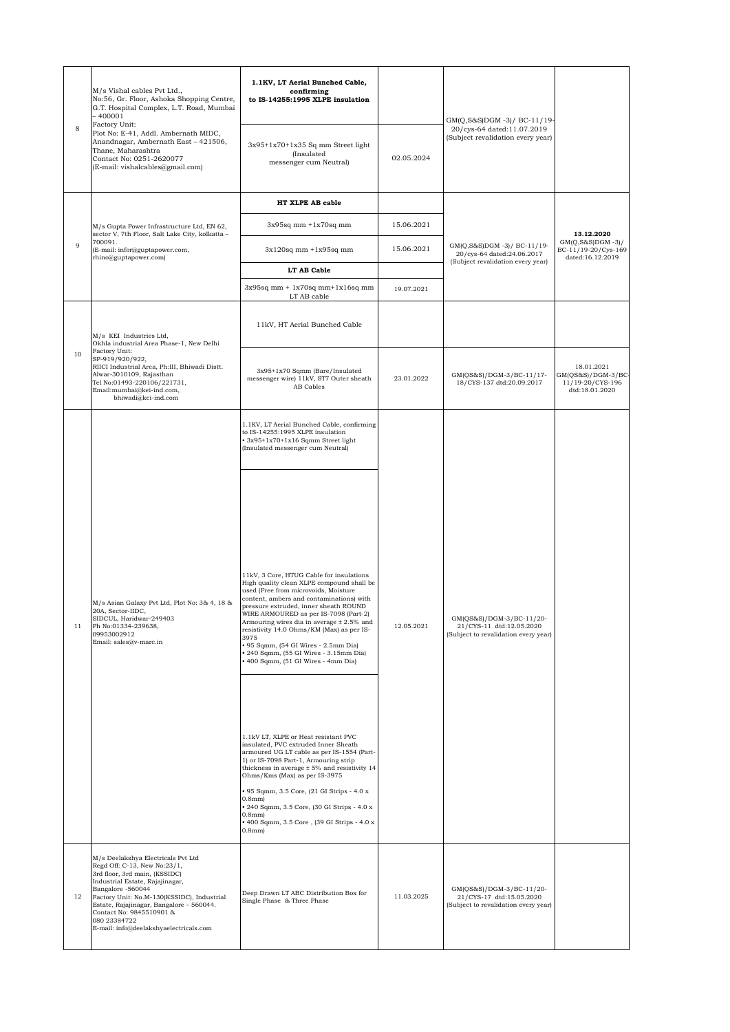| 8  | M/s Vishal cables Pvt Ltd.,<br>No:56, Gr. Floor, Ashoka Shopping Centre,<br>G.T. Hospital Complex, L.T. Road, Mumbai<br>$-400001$<br>Factory Unit:<br>Plot No: E-41, Addl. Ambernath MIDC,<br>Anandnagar, Ambernath East - 421506,<br>Thane, Maharashtra<br>Contact No: 0251-2620077<br>(E-mail: vishalcables@gmail.com)                    | 1.1KV, LT Aerial Bunched Cable,<br>confirming<br>to IS-14255:1995 XLPE insulation                                                                                                                                                                                                                                                                                                                                                                                                    |            | GM(Q,S&S)DGM -3)/ BC-11/19-<br>20/cys-64 dated:11.07.2019<br>(Subject revalidation every year) |                                                                       |
|----|---------------------------------------------------------------------------------------------------------------------------------------------------------------------------------------------------------------------------------------------------------------------------------------------------------------------------------------------|--------------------------------------------------------------------------------------------------------------------------------------------------------------------------------------------------------------------------------------------------------------------------------------------------------------------------------------------------------------------------------------------------------------------------------------------------------------------------------------|------------|------------------------------------------------------------------------------------------------|-----------------------------------------------------------------------|
|    |                                                                                                                                                                                                                                                                                                                                             | $3x95+1x70+1x35$ Sq mm Street light<br>(Insulated<br>messenger cum Neutral)                                                                                                                                                                                                                                                                                                                                                                                                          | 02.05.2024 |                                                                                                |                                                                       |
| 9  | M/s Gupta Power Infrastructure Ltd, EN 62,<br>sector V, 7th Floor, Salt Lake City, kolkatta -<br>700091.<br>(E-mail: infor@guptapower.com,<br>rhino@guptapower.com)                                                                                                                                                                         | HT XLPE AB cable                                                                                                                                                                                                                                                                                                                                                                                                                                                                     |            | GM(Q,S&S)DGM-3)/BC-11/19-<br>20/cys-64 dated:24.06.2017<br>(Subject revalidation every year)   |                                                                       |
|    |                                                                                                                                                                                                                                                                                                                                             | $3x95sq$ mm $+1x70sq$ mm                                                                                                                                                                                                                                                                                                                                                                                                                                                             | 15.06.2021 |                                                                                                | 13.12.2020                                                            |
|    |                                                                                                                                                                                                                                                                                                                                             | $3x120$ sq mm $+1x95$ sq mm                                                                                                                                                                                                                                                                                                                                                                                                                                                          | 15.06.2021 |                                                                                                | $GM(Q, S&S)DGM -3)/$<br>BC-11/19-20/Cys-169<br>dated:16.12.2019       |
|    |                                                                                                                                                                                                                                                                                                                                             | LT AB Cable                                                                                                                                                                                                                                                                                                                                                                                                                                                                          |            |                                                                                                |                                                                       |
|    |                                                                                                                                                                                                                                                                                                                                             | $3x95sq$ mm + $1x70sq$ mm + $1x16sq$ mm<br>LT AB cable                                                                                                                                                                                                                                                                                                                                                                                                                               | 19.07.2021 |                                                                                                |                                                                       |
| 10 | M/s KEI Industries Ltd,<br>Okhla industrial Area Phase-1, New Delhi<br>Factory Unit:<br>SP-919/920/922,<br>RIICI Industrial Area, Ph:III, Bhiwadi Distt.<br>Alwar-3010109, Rajasthan<br>Tel No:01493-220106/221731,<br>Email:mumbai@kei-ind.com,<br>bhiwadi@kei-ind.com                                                                     | 11kV, HT Aerial Bunched Cable                                                                                                                                                                                                                                                                                                                                                                                                                                                        |            |                                                                                                |                                                                       |
|    |                                                                                                                                                                                                                                                                                                                                             | 3x95+1x70 Sqmm (Bare/Insulated<br>messenger wire) 11kV, ST7 Outer sheath<br>AB Cables                                                                                                                                                                                                                                                                                                                                                                                                | 23.01.2022 | GM(QS&S)/DGM-3/BC-11/17-<br>18/CYS-137 dtd:20.09.2017                                          | 18.01.2021<br>GM(QS&S)/DGM-3/BC<br>11/19-20/CYS-196<br>dtd:18.01.2020 |
| 11 | M/s Asian Galaxy Pvt Ltd, Plot No: 3& 4, 18 &<br>20A, Sector-IIDC,<br>SIDCUL, Haridwar-249403<br>Ph No:01334-239638,<br>09953002912<br>Email: sales@v-marc.in                                                                                                                                                                               | 1.1KV, LT Aerial Bunched Cable, confirming<br>to IS-14255:1995 XLPE insulation<br>+3x95+1x70+1x16 Sqmm Street light<br>(Insulated messenger cum Neutral)                                                                                                                                                                                                                                                                                                                             |            |                                                                                                |                                                                       |
|    |                                                                                                                                                                                                                                                                                                                                             | 11kV, 3 Core, HTUG Cable for insulations<br>High quality clean XLPE compound shall be<br>used (Free from microvoids, Moisture<br>content, ambers and contaminations) with<br>pressure extruded, inner sheath ROUND<br>WIRE ARMOURED as per IS-7098 (Part-2)<br>Armouring wires dia in average ± 2.5% and<br>resistivity 14.0 Ohms/KM (Max) as per IS-<br>3975<br>• 95 Sqmm, (54 GI Wires - 2.5mm Dia)<br>240 Sqmm, (55 GI Wires - 3.15mm Dia)<br>+ 400 Sqmm, (51 GI Wires - 4mm Dia) | 12.05.2021 | GM(QS&S)/DGM-3/BC-11/20-<br>21/CYS-11 dtd:12.05.2020<br>(Subject to revalidation every year)   |                                                                       |
|    |                                                                                                                                                                                                                                                                                                                                             | 1.1kV LT, XLPE or Heat resistant PVC<br>insulated, PVC extruded Inner Sheath<br>armoured UG LT cable as per IS-1554 (Part-<br>1) or IS-7098 Part-1, Armouring strip<br>thickness in average $\pm$ 5% and resistivity 14<br>Ohms/Kms (Max) as per IS-3975<br>• 95 Sqmm, 3.5 Core, (21 GI Strips - 4.0 x<br>$0.8$ mm $)$<br>· 240 Sqmm, 3.5 Core, (30 GI Strips - 4.0 x<br>$0.8$ mm $)$<br>+400 Sqmm, 3.5 Core, (39 GI Strips - 4.0 x<br>$0.8$ mm $)$                                  |            |                                                                                                |                                                                       |
| 12 | M/s Deelakshya Electricals Pvt Ltd<br>Regd Off: C-13, New No:23/1,<br>3rd floor, 3rd main, (KSSIDC)<br>Industrial Estate, Rajajinagar,<br>Bangalore -560044<br>Factory Unit: No.M-130(KSSIDC), Industrial<br>Estate, Rajajinagar, Bangalore - 560044.<br>Contact No: 9845510901 &<br>080 23384722<br>E-mail: info@deelakshyaelectricals.com | Deep Drawn LT ABC Distribution Box for<br>Single Phase & Three Phase                                                                                                                                                                                                                                                                                                                                                                                                                 | 11.03.2025 | GM(QS&S)/DGM-3/BC-11/20-<br>21/CYS-17 dtd:15.05.2020<br>(Subject to revalidation every year)   |                                                                       |